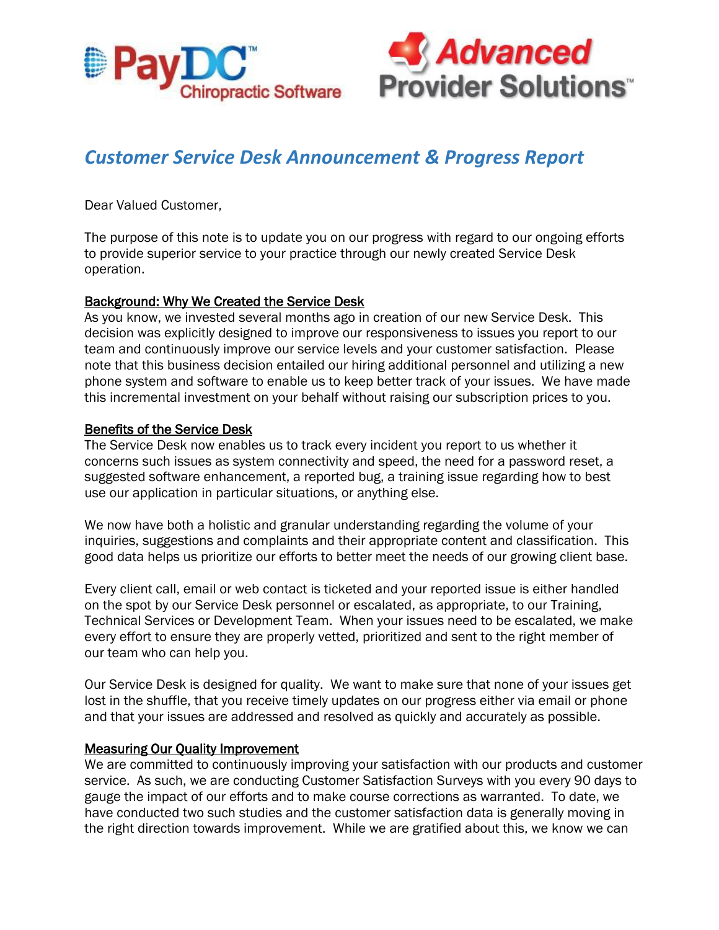



# *Customer Service Desk Announcement & Progress Report*

Dear Valued Customer,

The purpose of this note is to update you on our progress with regard to our ongoing efforts to provide superior service to your practice through our newly created Service Desk operation.

### Background: Why We Created the Service Desk

As you know, we invested several months ago in creation of our new Service Desk. This decision was explicitly designed to improve our responsiveness to issues you report to our team and continuously improve our service levels and your customer satisfaction. Please note that this business decision entailed our hiring additional personnel and utilizing a new phone system and software to enable us to keep better track of your issues. We have made this incremental investment on your behalf without raising our subscription prices to you.

## Benefits of the Service Desk

The Service Desk now enables us to track every incident you report to us whether it concerns such issues as system connectivity and speed, the need for a password reset, a suggested software enhancement, a reported bug, a training issue regarding how to best use our application in particular situations, or anything else.

We now have both a holistic and granular understanding regarding the volume of your inquiries, suggestions and complaints and their appropriate content and classification. This good data helps us prioritize our efforts to better meet the needs of our growing client base.

Every client call, email or web contact is ticketed and your reported issue is either handled on the spot by our Service Desk personnel or escalated, as appropriate, to our Training, Technical Services or Development Team. When your issues need to be escalated, we make every effort to ensure they are properly vetted, prioritized and sent to the right member of our team who can help you.

Our Service Desk is designed for quality. We want to make sure that none of your issues get lost in the shuffle, that you receive timely updates on our progress either via email or phone and that your issues are addressed and resolved as quickly and accurately as possible.

### Measuring Our Quality Improvement

We are committed to continuously improving your satisfaction with our products and customer service. As such, we are conducting Customer Satisfaction Surveys with you every 90 days to gauge the impact of our efforts and to make course corrections as warranted. To date, we have conducted two such studies and the customer satisfaction data is generally moving in the right direction towards improvement. While we are gratified about this, we know we can